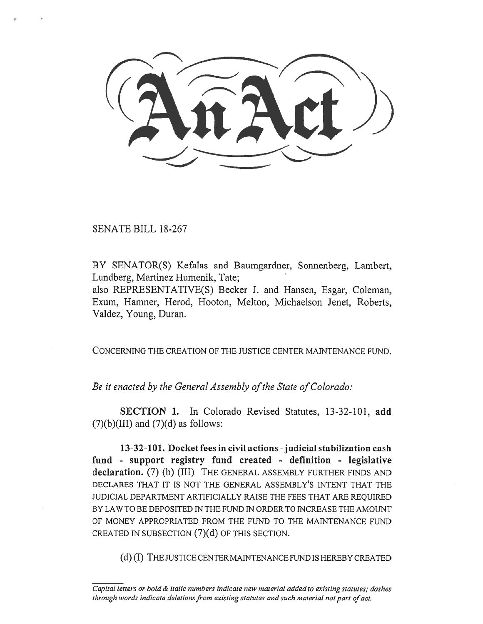SENATE BILL 18-267

BY SENATOR(S) Kefalas and Baumgardner, Sonnenberg, Lambert, Lundberg, Martinez Humenik, Tate;

also REPRESENTATIVE(S) Becker J. and Hansen, Esgar, Coleman, Exum, Hamner, Herod, Hooton, Melton, Michaelson Jenet, Roberts, Valdez, Young, Duran.

CONCERNING THE CREATION OF THE JUSTICE CENTER MAINTENANCE FUND.

*Be it enacted by the General Assembly of the State of Colorado:* 

**SECTION 1.** In Colorado Revised Statutes, 13-32-101, **add**   $(7)(b)(III)$  and  $(7)(d)$  as follows:

**13-32-101. Docket fees in civil actions - judicial stabilization cash fund - support registry fund created - definition - legislative declaration.** (7) (b) (III) THE GENERAL ASSEMBLY FURTHER FINDS AND DECLARES THAT IT IS NOT THE GENERAL ASSEMBLY'S INTENT THAT THE JUDICIAL DEPARTMENT ARTIFICIALLY RAISE THE FEES THAT ARE REQUIRED BY LAW TO BE DEPOSITED IN THE FUND IN ORDER TO INCREASE THE AMOUNT OF MONEY APPROPRIATED FROM THE FUND TO THE MAINTENANCE FUND CREATED IN SUBSECTION (7)(d) OF THIS SECTION.

(d) (I) THE JUSTICE CENTER MAINTENANCE FUND IS HEREBY CREATED

*Capital letters or bold & italic numbers indicate new material added to existing statutes; dashes through words indicate deletions from existing statutes and such material not part of act.*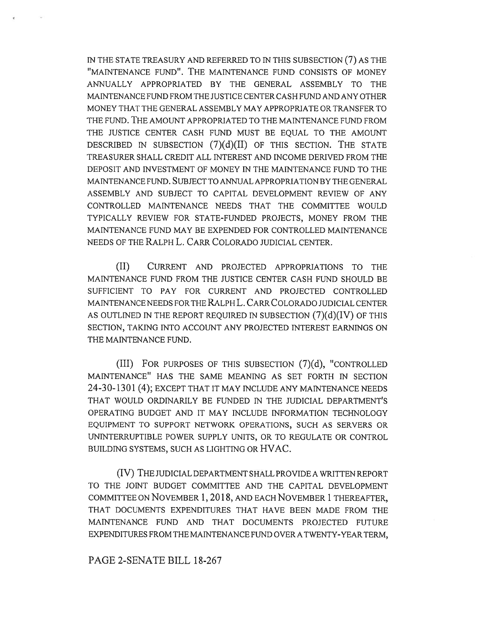IN THE STATE TREASURY AND REFERRED TO IN THIS SUBSECTION (7) AS THE "MAINTENANCE FUND". THE MAINTENANCE FUND CONSISTS OF MONEY ANNUALLY APPROPRIATED BY THE GENERAL ASSEMBLY TO THE MAINTENANCE FUND FROM THE JUSTICE CENTER CASH FUND AND ANY OTHER MONEY THAT THE GENERAL ASSEMBLY MAY APPROPRIATE OR TRANSFER TO THE FUND. THE AMOUNT APPROPRIATED TO THE MAINTENANCE FUND FROM THE JUSTICE CENTER CASH FUND MUST BE EQUAL TO THE AMOUNT DESCRIBED IN SUBSECTION  $(7)(d)(II)$  OF THIS SECTION. THE STATE TREASURER SHALL CREDIT ALL INTEREST AND INCOME DERIVED FROM THE DEPOSIT AND INVESTMENT OF MONEY IN THE MAINTENANCE FUND TO THE MAINTENANCE FUND. SUBJECT TO ANNUAL APPROPRIATION BY THE GENERAL ASSEMBLY AND SUBJECT TO CAPITAL DEVELOPMENT REVIEW OF ANY CONTROLLED MAINTENANCE NEEDS THAT THE COMMITTEE WOULD TYPICALLY REVIEW FOR STATE-FUNDED PROJECTS, MONEY FROM THE MAINTENANCE FUND MAY BE EXPENDED FOR CONTROLLED MAINTENANCE NEEDS OF THE RALPH L. CARR COLORADO JUDICIAL CENTER.

(II) CURRENT AND PROJECTED APPROPRIATIONS TO THE MAINTENANCE FUND FROM THE JUSTICE CENTER CASH FUND SHOULD BE SUFFICIENT TO PAY FOR CURRENT AND PROJECTED CONTROLLED MAINTENANCE NEEDS FOR THE RALPH L. CARR COLORADO JUDICIAL CENTER AS OUTLINED IN THE REPORT REQUIRED IN SUBSECTION  $(7)(d)(IV)$  OF THIS SECTION, TAKING INTO ACCOUNT ANY PROJECTED INTEREST EARNINGS ON THE MAINTENANCE FUND.

(III) FOR PURPOSES OF THIS SUBSECTION (7)(d), "CONTROLLED MAINTENANCE" HAS THE SAME MEANING AS SET FORTH IN SECTION 24-30-1301 (4); EXCEPT THAT IT MAY INCLUDE ANY MAINTENANCE NEEDS THAT WOULD ORDINARILY BE FUNDED IN THE JUDICIAL DEPARTMENT'S OPERATING BUDGET AND IT MAY INCLUDE INFORMATION TECHNOLOGY EQUIPMENT TO SUPPORT NETWORK OPERATIONS, SUCH AS SERVERS OR UNINTERRUPTIBLE POWER SUPPLY UNITS, OR TO REGULATE OR CONTROL BUILDING SYSTEMS, SUCH AS LIGHTING OR HVAC.

(IV) THE JUDICIAL DEPARTMENT SHALL PROVIDE A WRITTEN REPORT TO THE JOINT BUDGET COMMITTEE AND THE CAPITAL DEVELOPMENT COMMITTEE ON NOVEMBER 1, 2018, AND EACH NOVEMBER 1 THEREAFTER, THAT DOCUMENTS EXPENDITURES THAT HAVE BEEN MADE FROM THE MAINTENANCE FUND AND THAT DOCUMENTS PROJECTED FUTURE EXPENDITURES FROM THE MAINTENANCE FUND OVER A TWENTY-YEAR TERM,

PAGE 2-SENATE BILL 18-267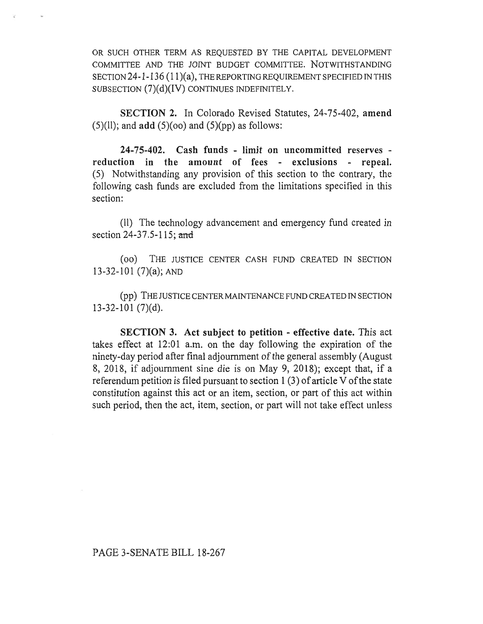OR SUCH OTHER TERM AS REQUESTED BY THE CAPITAL DEVELOPMENT COMMITTEE AND THE JOINT BUDGET COMMITTEE. NOTWITHSTANDING SECTION 24-1-136 (11)(a), THE REPORTING REQUIREMENT SPECIFIED IN THIS SUBSECTION (7)(d)(IV) CONTINUES INDEFINITELY.

**SECTION 2.** In Colorado Revised Statutes, 24-75-402, **amend**   $(5)(11)$ ; and **add**  $(5)(\infty)$  and  $(5)(\infty)$  as follows:

**24-75-402. Cash funds - limit on uncommitted reserves reduction in the amount of fees - exclusions - repeal.**  (5) Notwithstanding any provision of this section to the contrary, the following cash funds are excluded from the limitations specified in this section:

(11) The technology advancement and emergency fund created in section 24-37.5-115; and

(00) THE JUSTICE CENTER CASH FUND CREATED IN SECTION 13-32-101 (7)(a); AND

(pp) THE JUSTICE CENTER MAINTENANCE FUND CREATED IN SECTION 13-32-101 (7)(d).

**SECTION 3. Act subject to petition - effective date.** This act takes effect at 12:01 a.m. on the day following the expiration of the ninety-day period after final adjournment of the general assembly (August 8, 2018, if adjournment sine die is on May 9, 2018); except that, if a referendum petition is filed pursuant to section **1** (3) of article V of **the** state constitution against this act or an item, section, or part of this act within such period, then the act, item, section, or part will not take effect unless